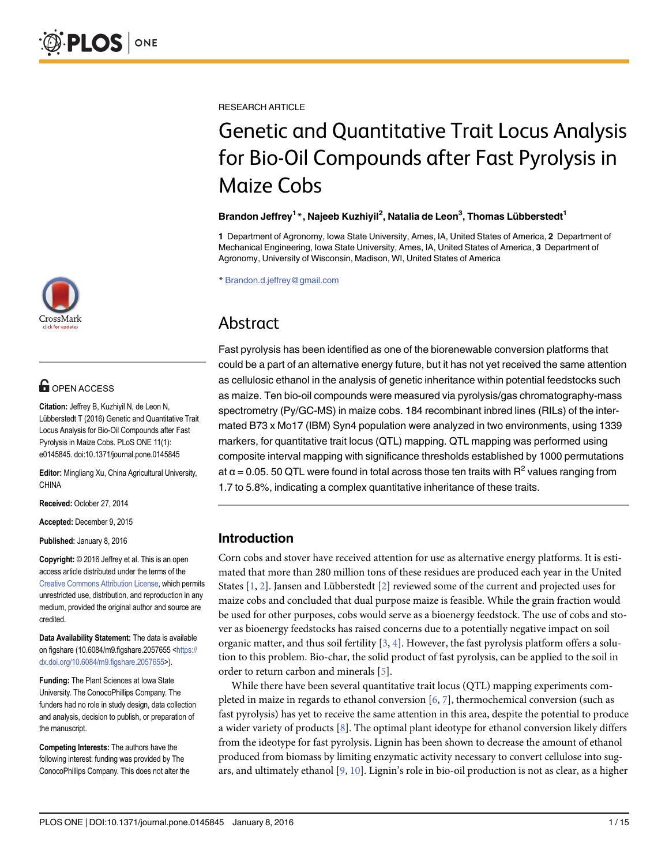

# **G** OPEN ACCESS

Citation: Jeffrey B, Kuzhiyil N, de Leon N, Lübberstedt T (2016) Genetic and Quantitative Trait Locus Analysis for Bio-Oil Compounds after Fast Pyrolysis in Maize Cobs. PLoS ONE 11(1): e0145845. doi:10.1371/journal.pone.0145845

Editor: Mingliang Xu, China Agricultural University, CHINA

Received: October 27, 2014

Accepted: December 9, 2015

Published: January 8, 2016

Copyright: © 2016 Jeffrey et al. This is an open access article distributed under the terms of the [Creative Commons Attribution License,](http://creativecommons.org/licenses/by/4.0/) which permits unrestricted use, distribution, and reproduction in any medium, provided the original author and source are credited.

Data Availability Statement: The data is available on figshare (10.6084/m9.figshare.2057655 <[https://](https://dx.doi.org/10.6084/m9.figshare.2057655) [dx.doi.org/10.6084/m9.figshare.2057655](https://dx.doi.org/10.6084/m9.figshare.2057655)>).

Funding: The Plant Sciences at Iowa State University. The ConocoPhillips Company. The funders had no role in study design, data collection and analysis, decision to publish, or preparation of the manuscript.

Competing Interests: The authors have the following interest: funding was provided by The ConocoPhillips Company. This does not alter the <span id="page-0-0"></span>RESEARCH ARTICLE

# Genetic and Quantitative Trait Locus Analysis for Bio-Oil Compounds after Fast Pyrolysis in Maize Cobs

#### Brandon Jeffrey<sup>1</sup>\*, Najeeb Kuzhiyil<sup>2</sup>, Natalia de Leon<sup>3</sup>, Thomas Lübberstedt<sup>1</sup>

1 Department of Agronomy, Iowa State University, Ames, IA, United States of America, 2 Department of Mechanical Engineering, Iowa State University, Ames, IA, United States of America, 3 Department of Agronomy, University of Wisconsin, Madison, WI, United States of America

\* Brandon.d.jeffrey@gmail.com

# Abstract

Fast pyrolysis has been identified as one of the biorenewable conversion platforms that could be a part of an alternative energy future, but it has not yet received the same attention as cellulosic ethanol in the analysis of genetic inheritance within potential feedstocks such as maize. Ten bio-oil compounds were measured via pyrolysis/gas chromatography-mass spectrometry (Py/GC-MS) in maize cobs. 184 recombinant inbred lines (RILs) of the intermated B73 x Mo17 (IBM) Syn4 population were analyzed in two environments, using 1339 markers, for quantitative trait locus (QTL) mapping. QTL mapping was performed using composite interval mapping with significance thresholds established by 1000 permutations at  $\alpha$  = 0.05. 50 QTL were found in total across those ten traits with  $R^2$  values ranging from 1.7 to 5.8%, indicating a complex quantitative inheritance of these traits.

# Introduction

Corn cobs and stover have received attention for use as alternative energy platforms. It is estimated that more than 280 million tons of these residues are produced each year in the United States [[1](#page-12-0), [2\]](#page-13-0). Jansen and Lübberstedt [\[2\]](#page-13-0) reviewed some of the current and projected uses for maize cobs and concluded that dual purpose maize is feasible. While the grain fraction would be used for other purposes, cobs would serve as a bioenergy feedstock. The use of cobs and stover as bioenergy feedstocks has raised concerns due to a potentially negative impact on soil organic matter, and thus soil fertility  $[3, 4]$  $[3, 4]$  $[3, 4]$  $[3, 4]$ . However, the fast pyrolysis platform offers a solution to this problem. Bio-char, the solid product of fast pyrolysis, can be applied to the soil in order to return carbon and minerals [[5](#page-13-0)].

While there have been several quantitative trait locus (QTL) mapping experiments completed in maize in regards to ethanol conversion [[6](#page-13-0), [7\]](#page-13-0), thermochemical conversion (such as fast pyrolysis) has yet to receive the same attention in this area, despite the potential to produce a wider variety of products  $[8]$  $[8]$ . The optimal plant ideotype for ethanol conversion likely differs from the ideotype for fast pyrolysis. Lignin has been shown to decrease the amount of ethanol produced from biomass by limiting enzymatic activity necessary to convert cellulose into sugars, and ultimately ethanol  $[9, 10]$  $[9, 10]$  $[9, 10]$ . Lignin's role in bio-oil production is not as clear, as a higher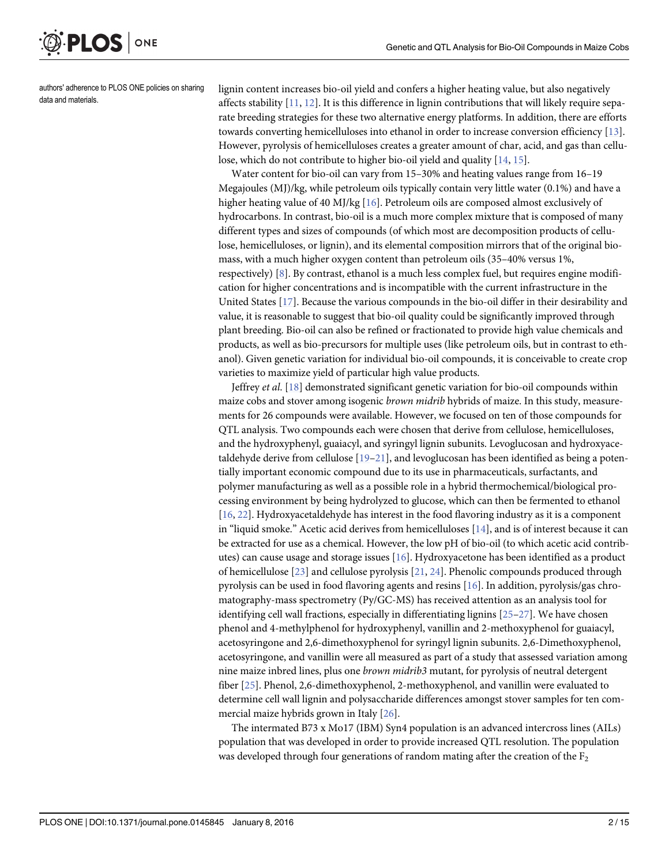<span id="page-1-0"></span>**PLOS**I ONE

authors' adherence to PLOS ONE policies on sharing data and materials.

lignin content increases bio-oil yield and confers a higher heating value, but also negatively affects stability  $[11, 12]$  $[11, 12]$  $[11, 12]$  $[11, 12]$ . It is this difference in lignin contributions that will likely require separate breeding strategies for these two alternative energy platforms. In addition, there are efforts towards converting hemicelluloses into ethanol in order to increase conversion efficiency [[13\]](#page-13-0). However, pyrolysis of hemicelluloses creates a greater amount of char, acid, and gas than cellu-lose, which do not contribute to higher bio-oil yield and quality [[14](#page-13-0), [15](#page-13-0)].

Water content for bio-oil can vary from 15–30% and heating values range from 16–19 Megajoules (MJ)/kg, while petroleum oils typically contain very little water (0.1%) and have a higher heating value of 40 MJ/kg [[16\]](#page-13-0). Petroleum oils are composed almost exclusively of hydrocarbons. In contrast, bio-oil is a much more complex mixture that is composed of many different types and sizes of compounds (of which most are decomposition products of cellulose, hemicelluloses, or lignin), and its elemental composition mirrors that of the original biomass, with a much higher oxygen content than petroleum oils (35–40% versus 1%, respectively) [[8](#page-13-0)]. By contrast, ethanol is a much less complex fuel, but requires engine modification for higher concentrations and is incompatible with the current infrastructure in the United States [[17](#page-13-0)]. Because the various compounds in the bio-oil differ in their desirability and value, it is reasonable to suggest that bio-oil quality could be significantly improved through plant breeding. Bio-oil can also be refined or fractionated to provide high value chemicals and products, as well as bio-precursors for multiple uses (like petroleum oils, but in contrast to ethanol). Given genetic variation for individual bio-oil compounds, it is conceivable to create crop varieties to maximize yield of particular high value products.

Jeffrey et al.  $[18]$  demonstrated significant genetic variation for bio-oil compounds within maize cobs and stover among isogenic *brown midrib* hybrids of maize. In this study, measurements for 26 compounds were available. However, we focused on ten of those compounds for QTL analysis. Two compounds each were chosen that derive from cellulose, hemicelluloses, and the hydroxyphenyl, guaiacyl, and syringyl lignin subunits. Levoglucosan and hydroxyacetaldehyde derive from cellulose [[19](#page-13-0)–[21](#page-13-0)], and levoglucosan has been identified as being a potentially important economic compound due to its use in pharmaceuticals, surfactants, and polymer manufacturing as well as a possible role in a hybrid thermochemical/biological processing environment by being hydrolyzed to glucose, which can then be fermented to ethanol [\[16](#page-13-0), [22\]](#page-13-0). Hydroxyacetaldehyde has interest in the food flavoring industry as it is a component in "liquid smoke." Acetic acid derives from hemicelluloses  $[14]$ , and is of interest because it can be extracted for use as a chemical. However, the low pH of bio-oil (to which acetic acid contrib-utes) can cause usage and storage issues [\[16\]](#page-13-0). Hydroxyacetone has been identified as a product of hemicellulose [[23](#page-13-0)] and cellulose pyrolysis [[21](#page-13-0), [24](#page-13-0)]. Phenolic compounds produced through pyrolysis can be used in food flavoring agents and resins [[16](#page-13-0)]. In addition, pyrolysis/gas chromatography-mass spectrometry (Py/GC-MS) has received attention as an analysis tool for identifying cell wall fractions, especially in differentiating lignins [\[25](#page-13-0)–[27](#page-14-0)]. We have chosen phenol and 4-methylphenol for hydroxyphenyl, vanillin and 2-methoxyphenol for guaiacyl, acetosyringone and 2,6-dimethoxyphenol for syringyl lignin subunits. 2,6-Dimethoxyphenol, acetosyringone, and vanillin were all measured as part of a study that assessed variation among nine maize inbred lines, plus one brown midrib3 mutant, for pyrolysis of neutral detergent fiber [[25\]](#page-13-0). Phenol, 2,6-dimethoxyphenol, 2-methoxyphenol, and vanillin were evaluated to determine cell wall lignin and polysaccharide differences amongst stover samples for ten commercial maize hybrids grown in Italy [\[26\]](#page-13-0).

The intermated B73 x Mo17 (IBM) Syn4 population is an advanced intercross lines (AILs) population that was developed in order to provide increased QTL resolution. The population was developed through four generations of random mating after the creation of the  $F_2$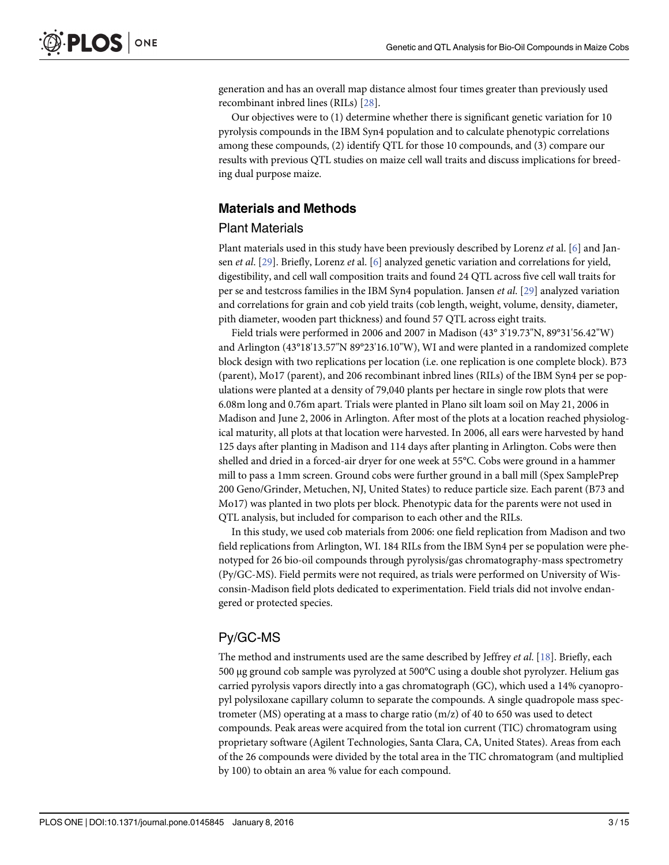<span id="page-2-0"></span>generation and has an overall map distance almost four times greater than previously used recombinant inbred lines (RILs) [[28\]](#page-14-0).

Our objectives were to (1) determine whether there is significant genetic variation for 10 pyrolysis compounds in the IBM Syn4 population and to calculate phenotypic correlations among these compounds, (2) identify QTL for those 10 compounds, and (3) compare our results with previous QTL studies on maize cell wall traits and discuss implications for breeding dual purpose maize.

# Materials and Methods

#### Plant Materials

Plant materials used in this study have been previously described by Lorenz et al. [[6\]](#page-13-0) and Jansen *et al.* [[29](#page-14-0)]. Briefly, Lorenz *et* al. [[6](#page-13-0)] analyzed genetic variation and correlations for yield, digestibility, and cell wall composition traits and found 24 QTL across five cell wall traits for per se and testcross families in the IBM Syn4 population. Jansen et al. [\[29](#page-14-0)] analyzed variation and correlations for grain and cob yield traits (cob length, weight, volume, density, diameter, pith diameter, wooden part thickness) and found 57 QTL across eight traits.

Field trials were performed in 2006 and 2007 in Madison (43° 3'19.73"N, 89°31'56.42"W) and Arlington (43°18'13.57"N 89°23'16.10"W), WI and were planted in a randomized complete block design with two replications per location (i.e. one replication is one complete block). B73 (parent), Mo17 (parent), and 206 recombinant inbred lines (RILs) of the IBM Syn4 per se populations were planted at a density of 79,040 plants per hectare in single row plots that were 6.08m long and 0.76m apart. Trials were planted in Plano silt loam soil on May 21, 2006 in Madison and June 2, 2006 in Arlington. After most of the plots at a location reached physiological maturity, all plots at that location were harvested. In 2006, all ears were harvested by hand 125 days after planting in Madison and 114 days after planting in Arlington. Cobs were then shelled and dried in a forced-air dryer for one week at 55°C. Cobs were ground in a hammer mill to pass a 1mm screen. Ground cobs were further ground in a ball mill (Spex SamplePrep 200 Geno/Grinder, Metuchen, NJ, United States) to reduce particle size. Each parent (B73 and Mo17) was planted in two plots per block. Phenotypic data for the parents were not used in QTL analysis, but included for comparison to each other and the RILs.

In this study, we used cob materials from 2006: one field replication from Madison and two field replications from Arlington, WI. 184 RILs from the IBM Syn4 per se population were phenotyped for 26 bio-oil compounds through pyrolysis/gas chromatography-mass spectrometry (Py/GC-MS). Field permits were not required, as trials were performed on University of Wisconsin-Madison field plots dedicated to experimentation. Field trials did not involve endangered or protected species.

# Py/GC-MS

The method and instruments used are the same described by Jeffrey *et al.* [\[18\]](#page-13-0). Briefly, each 500 μg ground cob sample was pyrolyzed at 500°C using a double shot pyrolyzer. Helium gas carried pyrolysis vapors directly into a gas chromatograph (GC), which used a 14% cyanopropyl polysiloxane capillary column to separate the compounds. A single quadropole mass spectrometer (MS) operating at a mass to charge ratio (m/z) of 40 to 650 was used to detect compounds. Peak areas were acquired from the total ion current (TIC) chromatogram using proprietary software (Agilent Technologies, Santa Clara, CA, United States). Areas from each of the 26 compounds were divided by the total area in the TIC chromatogram (and multiplied by 100) to obtain an area % value for each compound.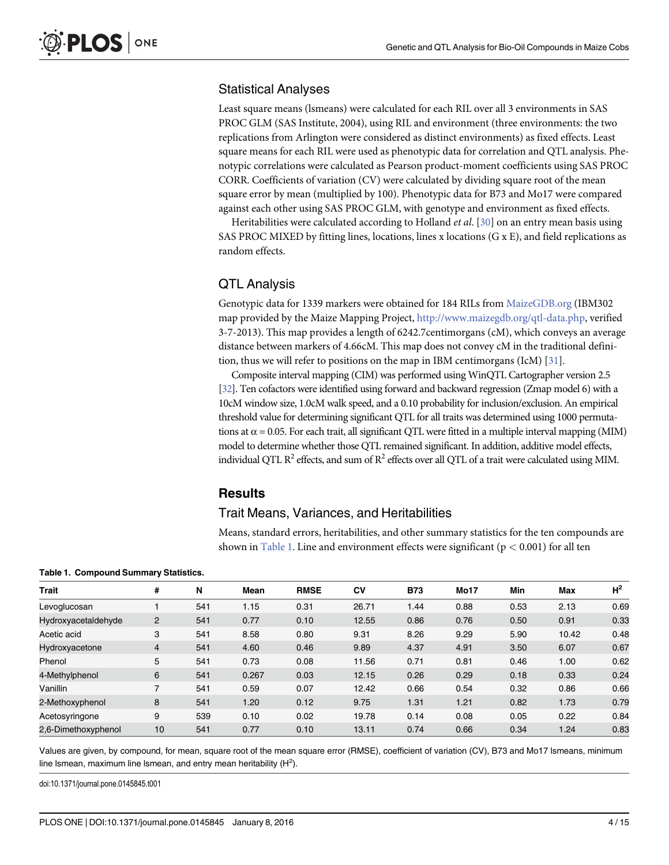#### <span id="page-3-0"></span>Statistical Analyses

Least square means (lsmeans) were calculated for each RIL over all 3 environments in SAS PROC GLM (SAS Institute, 2004), using RIL and environment (three environments: the two replications from Arlington were considered as distinct environments) as fixed effects. Least square means for each RIL were used as phenotypic data for correlation and QTL analysis. Phenotypic correlations were calculated as Pearson product-moment coefficients using SAS PROC CORR. Coefficients of variation (CV) were calculated by dividing square root of the mean square error by mean (multiplied by 100). Phenotypic data for B73 and Mo17 were compared against each other using SAS PROC GLM, with genotype and environment as fixed effects.

Heritabilities were calculated according to Holland *et al.*  $[30]$  $[30]$  on an entry mean basis using SAS PROC MIXED by fitting lines, locations, lines x locations (G x E), and field replications as random effects.

# QTL Analysis

Genotypic data for 1339 markers were obtained for 184 RILs from [MaizeGDB.org](http://MaizeGDB.org) (IBM302 map provided by the Maize Mapping Project, [http://www.maizegdb.org/qtl-data.php,](http://www.maizegdb.org/qtl-data.php) verified 3-7-2013). This map provides a length of 6242.7centimorgans (cM), which conveys an average distance between markers of 4.66cM. This map does not convey cM in the traditional definition, thus we will refer to positions on the map in IBM centimorgans (IcM) [[31\]](#page-14-0).

Composite interval mapping (CIM) was performed using WinQTL Cartographer version 2.5 [\[32](#page-14-0)]. Ten cofactors were identified using forward and backward regression (Zmap model 6) with a 10cM window size, 1.0cM walk speed, and a 0.10 probability for inclusion/exclusion. An empirical threshold value for determining significant QTL for all traits was determined using 1000 permutations at  $\alpha$  = 0.05. For each trait, all significant QTL were fitted in a multiple interval mapping (MIM) model to determine whether those QTL remained significant. In addition, additive model effects, individual QTL  $R^2$  effects, and sum of  $R^2$  effects over all QTL of a trait were calculated using MIM.

#### **Results**

#### Trait Means, Variances, and Heritabilities

Means, standard errors, heritabilities, and other summary statistics for the ten compounds are shown in Table 1. Line and environment effects were significant ( $p < 0.001$ ) for all ten

| <b>Trait</b>        | #              | N   | Mean  | <b>RMSE</b> | CV    | <b>B73</b> | <b>Mo17</b> | Min  | Max   | H <sup>2</sup> |
|---------------------|----------------|-----|-------|-------------|-------|------------|-------------|------|-------|----------------|
| Levoglucosan        |                | 541 | 1.15  | 0.31        | 26.71 | 1.44       | 0.88        | 0.53 | 2.13  | 0.69           |
| Hydroxyacetaldehyde | $\overline{2}$ | 541 | 0.77  | 0.10        | 12.55 | 0.86       | 0.76        | 0.50 | 0.91  | 0.33           |
| Acetic acid         | 3              | 541 | 8.58  | 0.80        | 9.31  | 8.26       | 9.29        | 5.90 | 10.42 | 0.48           |
| Hydroxyacetone      | 4              | 541 | 4.60  | 0.46        | 9.89  | 4.37       | 4.91        | 3.50 | 6.07  | 0.67           |
| Phenol              | 5              | 541 | 0.73  | 0.08        | 11.56 | 0.71       | 0.81        | 0.46 | 1.00  | 0.62           |
| 4-Methylphenol      | 6              | 541 | 0.267 | 0.03        | 12.15 | 0.26       | 0.29        | 0.18 | 0.33  | 0.24           |
| Vanillin            |                | 541 | 0.59  | 0.07        | 12.42 | 0.66       | 0.54        | 0.32 | 0.86  | 0.66           |
| 2-Methoxyphenol     | 8              | 541 | 1.20  | 0.12        | 9.75  | 1.31       | 1.21        | 0.82 | 1.73  | 0.79           |
| Acetosyringone      | 9              | 539 | 0.10  | 0.02        | 19.78 | 0.14       | 0.08        | 0.05 | 0.22  | 0.84           |
| 2,6-Dimethoxyphenol | 10             | 541 | 0.77  | 0.10        | 13.11 | 0.74       | 0.66        | 0.34 | 1.24  | 0.83           |

Table 1. Compound Summary Statistics.

Values are given, by compound, for mean, square root of the mean square error (RMSE), coefficient of variation (CV), B73 and Mo17 lsmeans, minimum line Ismean, maximum line Ismean, and entry mean heritability  $(H^2)$ .

doi:10.1371/journal.pone.0145845.t001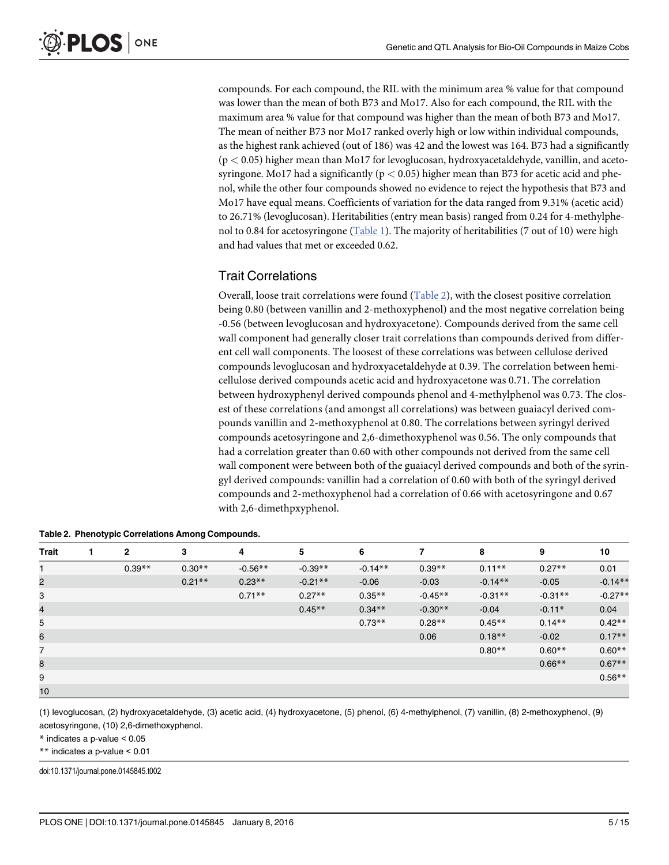compounds. For each compound, the RIL with the minimum area % value for that compound was lower than the mean of both B73 and Mo17. Also for each compound, the RIL with the maximum area % value for that compound was higher than the mean of both B73 and Mo17. The mean of neither B73 nor Mo17 ranked overly high or low within individual compounds, as the highest rank achieved (out of 186) was 42 and the lowest was 164. B73 had a significantly  $(p < 0.05)$  higher mean than Mo17 for levoglucosan, hydroxyacetaldehyde, vanillin, and acetosyringone. Mo17 had a significantly ( $p < 0.05$ ) higher mean than B73 for acetic acid and phenol, while the other four compounds showed no evidence to reject the hypothesis that B73 and Mo17 have equal means. Coefficients of variation for the data ranged from 9.31% (acetic acid) to 26.71% (levoglucosan). Heritabilities (entry mean basis) ranged from 0.24 for 4-methylphenol to 0.84 for acetosyringone [\(Table 1\)](#page-3-0). The majority of heritabilities (7 out of 10) were high and had values that met or exceeded 0.62.

# Trait Correlations

Overall, loose trait correlations were found (Table 2), with the closest positive correlation being 0.80 (between vanillin and 2-methoxyphenol) and the most negative correlation being -0.56 (between levoglucosan and hydroxyacetone). Compounds derived from the same cell wall component had generally closer trait correlations than compounds derived from different cell wall components. The loosest of these correlations was between cellulose derived compounds levoglucosan and hydroxyacetaldehyde at 0.39. The correlation between hemicellulose derived compounds acetic acid and hydroxyacetone was 0.71. The correlation between hydroxyphenyl derived compounds phenol and 4-methylphenol was 0.73. The closest of these correlations (and amongst all correlations) was between guaiacyl derived compounds vanillin and 2-methoxyphenol at 0.80. The correlations between syringyl derived compounds acetosyringone and 2,6-dimethoxyphenol was 0.56. The only compounds that had a correlation greater than 0.60 with other compounds not derived from the same cell wall component were between both of the guaiacyl derived compounds and both of the syringyl derived compounds: vanillin had a correlation of 0.60 with both of the syringyl derived compounds and 2-methoxyphenol had a correlation of 0.66 with acetosyringone and 0.67 with 2,6-dimethpxyphenol.

| <b>Trait</b> | 1. | 2        | 3         | 4         | 5         | 6         | 7         | 8         | 9         | 10        |
|--------------|----|----------|-----------|-----------|-----------|-----------|-----------|-----------|-----------|-----------|
|              |    | $0.39**$ | $0.30**$  | $-0.56**$ | $-0.39**$ | $-0.14**$ | $0.39**$  | $0.11***$ | $0.27**$  | 0.01      |
| 2            |    |          | $0.21***$ | $0.23**$  | $-0.21**$ | $-0.06$   | $-0.03$   | $-0.14**$ | $-0.05$   | $-0.14**$ |
| 3            |    |          |           | $0.71**$  | $0.27**$  | $0.35***$ | $-0.45**$ | $-0.31**$ | $-0.31**$ | $-0.27**$ |
| 4            |    |          |           |           | $0.45**$  | $0.34***$ | $-0.30**$ | $-0.04$   | $-0.11*$  | 0.04      |
| 5            |    |          |           |           |           | $0.73**$  | $0.28**$  | $0.45**$  | $0.14***$ | $0.42**$  |
| 6            |    |          |           |           |           |           | 0.06      | $0.18**$  | $-0.02$   | $0.17**$  |
| 7            |    |          |           |           |           |           |           | $0.80**$  | $0.60**$  | $0.60**$  |
| 8            |    |          |           |           |           |           |           |           | $0.66**$  | $0.67**$  |
| 9            |    |          |           |           |           |           |           |           |           | $0.56**$  |
| 10           |    |          |           |           |           |           |           |           |           |           |

|  |  | Table 2. Phenotypic Correlations Among Compounds. |  |
|--|--|---------------------------------------------------|--|
|--|--|---------------------------------------------------|--|

(1) levoglucosan, (2) hydroxyacetaldehyde, (3) acetic acid, (4) hydroxyacetone, (5) phenol, (6) 4-methylphenol, (7) vanillin, (8) 2-methoxyphenol, (9) acetosyringone, (10) 2,6-dimethoxyphenol.

\* indicates a p-value < 0.05

\*\* indicates a p-value < 0.01

doi:10.1371/journal.pone.0145845.t002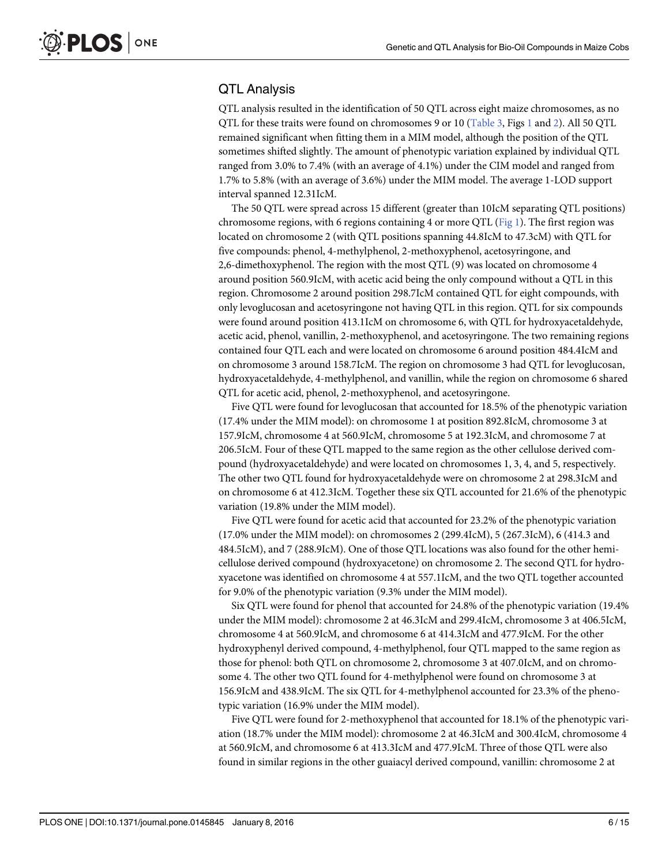# <span id="page-5-0"></span>QTL Analysis

QTL analysis resulted in the identification of 50 QTL across eight maize chromosomes, as no QTL for these traits were found on chromosomes 9 or 10 ([Table 3,](#page-6-0) Figs [1](#page-9-0) and [2](#page-11-0)). All 50 QTL remained significant when fitting them in a MIM model, although the position of the QTL sometimes shifted slightly. The amount of phenotypic variation explained by individual QTL ranged from 3.0% to 7.4% (with an average of 4.1%) under the CIM model and ranged from 1.7% to 5.8% (with an average of 3.6%) under the MIM model. The average 1-LOD support interval spanned 12.31IcM.

The 50 QTL were spread across 15 different (greater than 10IcM separating QTL positions) chromosome regions, with 6 regions containing 4 or more QTL ( $Fig 1$ ). The first region was located on chromosome 2 (with QTL positions spanning 44.8IcM to 47.3cM) with QTL for five compounds: phenol, 4-methylphenol, 2-methoxyphenol, acetosyringone, and 2,6-dimethoxyphenol. The region with the most QTL (9) was located on chromosome 4 around position 560.9IcM, with acetic acid being the only compound without a QTL in this region. Chromosome 2 around position 298.7IcM contained QTL for eight compounds, with only levoglucosan and acetosyringone not having QTL in this region. QTL for six compounds were found around position 413.1IcM on chromosome 6, with QTL for hydroxyacetaldehyde, acetic acid, phenol, vanillin, 2-methoxyphenol, and acetosyringone. The two remaining regions contained four QTL each and were located on chromosome 6 around position 484.4IcM and on chromosome 3 around 158.7IcM. The region on chromosome 3 had QTL for levoglucosan, hydroxyacetaldehyde, 4-methylphenol, and vanillin, while the region on chromosome 6 shared QTL for acetic acid, phenol, 2-methoxyphenol, and acetosyringone.

Five QTL were found for levoglucosan that accounted for 18.5% of the phenotypic variation (17.4% under the MIM model): on chromosome 1 at position 892.8IcM, chromosome 3 at 157.9IcM, chromosome 4 at 560.9IcM, chromosome 5 at 192.3IcM, and chromosome 7 at 206.5IcM. Four of these QTL mapped to the same region as the other cellulose derived compound (hydroxyacetaldehyde) and were located on chromosomes 1, 3, 4, and 5, respectively. The other two QTL found for hydroxyacetaldehyde were on chromosome 2 at 298.3IcM and on chromosome 6 at 412.3IcM. Together these six QTL accounted for 21.6% of the phenotypic variation (19.8% under the MIM model).

Five QTL were found for acetic acid that accounted for 23.2% of the phenotypic variation (17.0% under the MIM model): on chromosomes 2 (299.4IcM), 5 (267.3IcM), 6 (414.3 and 484.5IcM), and 7 (288.9IcM). One of those QTL locations was also found for the other hemicellulose derived compound (hydroxyacetone) on chromosome 2. The second QTL for hydroxyacetone was identified on chromosome 4 at 557.1IcM, and the two QTL together accounted for 9.0% of the phenotypic variation (9.3% under the MIM model).

Six QTL were found for phenol that accounted for 24.8% of the phenotypic variation (19.4% under the MIM model): chromosome 2 at 46.3IcM and 299.4IcM, chromosome 3 at 406.5IcM, chromosome 4 at 560.9IcM, and chromosome 6 at 414.3IcM and 477.9IcM. For the other hydroxyphenyl derived compound, 4-methylphenol, four QTL mapped to the same region as those for phenol: both QTL on chromosome 2, chromosome 3 at 407.0IcM, and on chromosome 4. The other two QTL found for 4-methylphenol were found on chromosome 3 at 156.9IcM and 438.9IcM. The six QTL for 4-methylphenol accounted for 23.3% of the phenotypic variation (16.9% under the MIM model).

Five QTL were found for 2-methoxyphenol that accounted for 18.1% of the phenotypic variation (18.7% under the MIM model): chromosome 2 at 46.3IcM and 300.4IcM, chromosome 4 at 560.9IcM, and chromosome 6 at 413.3IcM and 477.9IcM. Three of those QTL were also found in similar regions in the other guaiacyl derived compound, vanillin: chromosome 2 at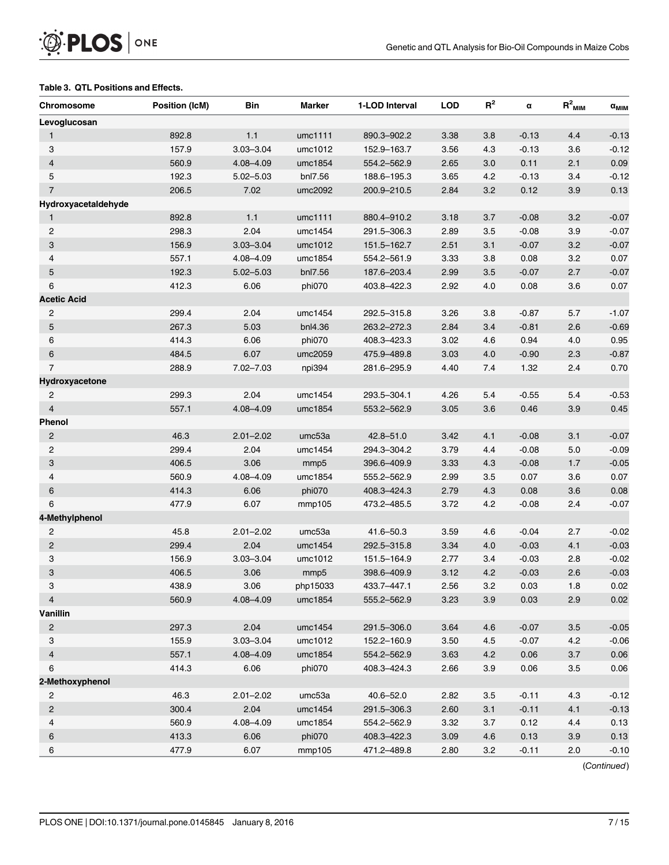#### <span id="page-6-0"></span>[Table 3.](#page-5-0) QTL Positions and Effects.

| Levoglucosan<br>$1.1$<br>892.8<br>umc1111<br>3.8<br>$-0.13$<br>4.4<br>$\mathbf{1}$<br>890.3-902.2<br>3.38<br>157.9<br>4.3<br>$-0.13$<br>3.6<br>3<br>$3.03 - 3.04$<br>umc1012<br>152.9-163.7<br>3.56<br>$\overline{\mathbf{4}}$<br>560.9<br>3.0<br>0.11<br>2.1<br>4.08-4.09<br>umc1854<br>554.2-562.9<br>2.65<br>5<br>192.3<br>4.2<br>$5.02 - 5.03$<br>bnl7.56<br>188.6-195.3<br>3.65<br>$-0.13$<br>3.4<br>206.5<br>3.2<br>$\overline{7}$<br>7.02<br>umc2092<br>200.9-210.5<br>2.84<br>0.12<br>3.9<br>Hydroxyacetaldehyde<br>892.8<br>1.1<br>3.2<br>umc1111<br>880.4-910.2<br>3.18<br>3.7<br>$-0.08$<br>$\mathbf{1}$<br>2.04<br>$\overline{c}$<br>298.3<br>$-0.08$<br>3.9<br>umc1454<br>291.5-306.3<br>2.89<br>3.5<br>3<br>156.9<br>$3.03 - 3.04$<br>2.51<br>3.1<br>$-0.07$<br>3.2<br>umc1012<br>151.5-162.7<br>557.1<br>0.08<br>3.2<br>4<br>4.08-4.09<br>umc1854<br>554.2-561.9<br>3.33<br>3.8<br>192.3<br>3.5<br>2.7<br>5<br>$5.02 - 5.03$<br>bnl7.56<br>187.6-203.4<br>2.99<br>$-0.07$<br>6<br>412.3<br>6.06<br>4.0<br>phi070<br>403.8-422.3<br>2.92<br>0.08<br>3.6<br><b>Acetic Acid</b><br>299.4<br>2.04<br>$\overline{c}$<br>umc1454<br>292.5-315.8<br>3.26<br>3.8<br>$-0.87$<br>5.7<br>5<br>267.3<br>5.03<br>bnl4.36<br>2.84<br>3.4<br>$-0.81$<br>2.6<br>263.2-272.3<br>414.3<br>6.06<br>phi070<br>4.6<br>0.94<br>4.0<br>6<br>408.3-423.3<br>3.02<br>484.5<br>6.07<br>6<br>umc2059<br>475.9-489.8<br>3.03<br>4.0<br>$-0.90$<br>2.3<br>$\overline{7}$<br>288.9<br>7.02-7.03<br>npi394<br>281.6-295.9<br>4.40<br>7.4<br>1.32<br>2.4<br>Hydroxyacetone<br>299.3<br>2.04<br>umc1454<br>5.4<br>$\overline{c}$<br>293.5-304.1<br>4.26<br>5.4<br>$-0.55$<br>$\overline{4}$<br>557.1<br>4.08-4.09<br>3.05<br>3.6<br>0.46<br>$3.9\,$<br>umc1854<br>553.2-562.9<br><b>Phenol</b><br>46.3<br>$2.01 - 2.02$<br>4.1<br>$-0.08$<br>3.1<br>$\overline{c}$<br>umc53a<br>$42.8 - 51.0$<br>3.42<br>$\overline{c}$ | <b>Chromosome</b> | <b>Position (IcM)</b> | Bin  | Marker  | 1-LOD Interval | <b>LOD</b> | $R^2$ | α       | $R^2$ <sub>MIM</sub> | $\alpha_{\text{MIM}}$ |
|-------------------------------------------------------------------------------------------------------------------------------------------------------------------------------------------------------------------------------------------------------------------------------------------------------------------------------------------------------------------------------------------------------------------------------------------------------------------------------------------------------------------------------------------------------------------------------------------------------------------------------------------------------------------------------------------------------------------------------------------------------------------------------------------------------------------------------------------------------------------------------------------------------------------------------------------------------------------------------------------------------------------------------------------------------------------------------------------------------------------------------------------------------------------------------------------------------------------------------------------------------------------------------------------------------------------------------------------------------------------------------------------------------------------------------------------------------------------------------------------------------------------------------------------------------------------------------------------------------------------------------------------------------------------------------------------------------------------------------------------------------------------------------------------------------------------------------------------------------------------------------------------------------|-------------------|-----------------------|------|---------|----------------|------------|-------|---------|----------------------|-----------------------|
|                                                                                                                                                                                                                                                                                                                                                                                                                                                                                                                                                                                                                                                                                                                                                                                                                                                                                                                                                                                                                                                                                                                                                                                                                                                                                                                                                                                                                                                                                                                                                                                                                                                                                                                                                                                                                                                                                                       |                   |                       |      |         |                |            |       |         |                      |                       |
|                                                                                                                                                                                                                                                                                                                                                                                                                                                                                                                                                                                                                                                                                                                                                                                                                                                                                                                                                                                                                                                                                                                                                                                                                                                                                                                                                                                                                                                                                                                                                                                                                                                                                                                                                                                                                                                                                                       |                   |                       |      |         |                |            |       |         |                      | $-0.13$               |
|                                                                                                                                                                                                                                                                                                                                                                                                                                                                                                                                                                                                                                                                                                                                                                                                                                                                                                                                                                                                                                                                                                                                                                                                                                                                                                                                                                                                                                                                                                                                                                                                                                                                                                                                                                                                                                                                                                       |                   |                       |      |         |                |            |       |         |                      | $-0.12$               |
|                                                                                                                                                                                                                                                                                                                                                                                                                                                                                                                                                                                                                                                                                                                                                                                                                                                                                                                                                                                                                                                                                                                                                                                                                                                                                                                                                                                                                                                                                                                                                                                                                                                                                                                                                                                                                                                                                                       |                   |                       |      |         |                |            |       |         |                      | 0.09                  |
|                                                                                                                                                                                                                                                                                                                                                                                                                                                                                                                                                                                                                                                                                                                                                                                                                                                                                                                                                                                                                                                                                                                                                                                                                                                                                                                                                                                                                                                                                                                                                                                                                                                                                                                                                                                                                                                                                                       |                   |                       |      |         |                |            |       |         |                      | $-0.12$               |
|                                                                                                                                                                                                                                                                                                                                                                                                                                                                                                                                                                                                                                                                                                                                                                                                                                                                                                                                                                                                                                                                                                                                                                                                                                                                                                                                                                                                                                                                                                                                                                                                                                                                                                                                                                                                                                                                                                       |                   |                       |      |         |                |            |       |         |                      | 0.13                  |
|                                                                                                                                                                                                                                                                                                                                                                                                                                                                                                                                                                                                                                                                                                                                                                                                                                                                                                                                                                                                                                                                                                                                                                                                                                                                                                                                                                                                                                                                                                                                                                                                                                                                                                                                                                                                                                                                                                       |                   |                       |      |         |                |            |       |         |                      |                       |
|                                                                                                                                                                                                                                                                                                                                                                                                                                                                                                                                                                                                                                                                                                                                                                                                                                                                                                                                                                                                                                                                                                                                                                                                                                                                                                                                                                                                                                                                                                                                                                                                                                                                                                                                                                                                                                                                                                       |                   |                       |      |         |                |            |       |         |                      | $-0.07$               |
|                                                                                                                                                                                                                                                                                                                                                                                                                                                                                                                                                                                                                                                                                                                                                                                                                                                                                                                                                                                                                                                                                                                                                                                                                                                                                                                                                                                                                                                                                                                                                                                                                                                                                                                                                                                                                                                                                                       |                   |                       |      |         |                |            |       |         |                      | $-0.07$               |
|                                                                                                                                                                                                                                                                                                                                                                                                                                                                                                                                                                                                                                                                                                                                                                                                                                                                                                                                                                                                                                                                                                                                                                                                                                                                                                                                                                                                                                                                                                                                                                                                                                                                                                                                                                                                                                                                                                       |                   |                       |      |         |                |            |       |         |                      | $-0.07$               |
|                                                                                                                                                                                                                                                                                                                                                                                                                                                                                                                                                                                                                                                                                                                                                                                                                                                                                                                                                                                                                                                                                                                                                                                                                                                                                                                                                                                                                                                                                                                                                                                                                                                                                                                                                                                                                                                                                                       |                   |                       |      |         |                |            |       |         |                      | 0.07                  |
|                                                                                                                                                                                                                                                                                                                                                                                                                                                                                                                                                                                                                                                                                                                                                                                                                                                                                                                                                                                                                                                                                                                                                                                                                                                                                                                                                                                                                                                                                                                                                                                                                                                                                                                                                                                                                                                                                                       |                   |                       |      |         |                |            |       |         |                      | $-0.07$               |
|                                                                                                                                                                                                                                                                                                                                                                                                                                                                                                                                                                                                                                                                                                                                                                                                                                                                                                                                                                                                                                                                                                                                                                                                                                                                                                                                                                                                                                                                                                                                                                                                                                                                                                                                                                                                                                                                                                       |                   |                       |      |         |                |            |       |         |                      | 0.07                  |
|                                                                                                                                                                                                                                                                                                                                                                                                                                                                                                                                                                                                                                                                                                                                                                                                                                                                                                                                                                                                                                                                                                                                                                                                                                                                                                                                                                                                                                                                                                                                                                                                                                                                                                                                                                                                                                                                                                       |                   |                       |      |         |                |            |       |         |                      |                       |
|                                                                                                                                                                                                                                                                                                                                                                                                                                                                                                                                                                                                                                                                                                                                                                                                                                                                                                                                                                                                                                                                                                                                                                                                                                                                                                                                                                                                                                                                                                                                                                                                                                                                                                                                                                                                                                                                                                       |                   |                       |      |         |                |            |       |         |                      | $-1.07$               |
|                                                                                                                                                                                                                                                                                                                                                                                                                                                                                                                                                                                                                                                                                                                                                                                                                                                                                                                                                                                                                                                                                                                                                                                                                                                                                                                                                                                                                                                                                                                                                                                                                                                                                                                                                                                                                                                                                                       |                   |                       |      |         |                |            |       |         |                      | $-0.69$               |
|                                                                                                                                                                                                                                                                                                                                                                                                                                                                                                                                                                                                                                                                                                                                                                                                                                                                                                                                                                                                                                                                                                                                                                                                                                                                                                                                                                                                                                                                                                                                                                                                                                                                                                                                                                                                                                                                                                       |                   |                       |      |         |                |            |       |         |                      | 0.95                  |
|                                                                                                                                                                                                                                                                                                                                                                                                                                                                                                                                                                                                                                                                                                                                                                                                                                                                                                                                                                                                                                                                                                                                                                                                                                                                                                                                                                                                                                                                                                                                                                                                                                                                                                                                                                                                                                                                                                       |                   |                       |      |         |                |            |       |         |                      | $-0.87$               |
|                                                                                                                                                                                                                                                                                                                                                                                                                                                                                                                                                                                                                                                                                                                                                                                                                                                                                                                                                                                                                                                                                                                                                                                                                                                                                                                                                                                                                                                                                                                                                                                                                                                                                                                                                                                                                                                                                                       |                   |                       |      |         |                |            |       |         |                      | 0.70                  |
|                                                                                                                                                                                                                                                                                                                                                                                                                                                                                                                                                                                                                                                                                                                                                                                                                                                                                                                                                                                                                                                                                                                                                                                                                                                                                                                                                                                                                                                                                                                                                                                                                                                                                                                                                                                                                                                                                                       |                   |                       |      |         |                |            |       |         |                      |                       |
|                                                                                                                                                                                                                                                                                                                                                                                                                                                                                                                                                                                                                                                                                                                                                                                                                                                                                                                                                                                                                                                                                                                                                                                                                                                                                                                                                                                                                                                                                                                                                                                                                                                                                                                                                                                                                                                                                                       |                   |                       |      |         |                |            |       |         |                      | $-0.53$               |
|                                                                                                                                                                                                                                                                                                                                                                                                                                                                                                                                                                                                                                                                                                                                                                                                                                                                                                                                                                                                                                                                                                                                                                                                                                                                                                                                                                                                                                                                                                                                                                                                                                                                                                                                                                                                                                                                                                       |                   |                       |      |         |                |            |       |         |                      | 0.45                  |
|                                                                                                                                                                                                                                                                                                                                                                                                                                                                                                                                                                                                                                                                                                                                                                                                                                                                                                                                                                                                                                                                                                                                                                                                                                                                                                                                                                                                                                                                                                                                                                                                                                                                                                                                                                                                                                                                                                       |                   |                       |      |         |                |            |       |         |                      |                       |
|                                                                                                                                                                                                                                                                                                                                                                                                                                                                                                                                                                                                                                                                                                                                                                                                                                                                                                                                                                                                                                                                                                                                                                                                                                                                                                                                                                                                                                                                                                                                                                                                                                                                                                                                                                                                                                                                                                       |                   |                       |      |         |                |            |       |         |                      | $-0.07$               |
|                                                                                                                                                                                                                                                                                                                                                                                                                                                                                                                                                                                                                                                                                                                                                                                                                                                                                                                                                                                                                                                                                                                                                                                                                                                                                                                                                                                                                                                                                                                                                                                                                                                                                                                                                                                                                                                                                                       |                   | 299.4                 | 2.04 | umc1454 | 294.3-304.2    | 3.79       | 4.4   | $-0.08$ | 5.0                  | $-0.09$               |
| 3<br>$1.7$<br>406.5<br>3.06<br>4.3<br>$-0.08$<br>mmp5<br>396.6-409.9<br>3.33                                                                                                                                                                                                                                                                                                                                                                                                                                                                                                                                                                                                                                                                                                                                                                                                                                                                                                                                                                                                                                                                                                                                                                                                                                                                                                                                                                                                                                                                                                                                                                                                                                                                                                                                                                                                                          |                   |                       |      |         |                |            |       |         |                      | $-0.05$               |
| 4<br>560.9<br>4.08-4.09<br>umc1854<br>555.2-562.9<br>2.99<br>3.5<br>0.07<br>3.6                                                                                                                                                                                                                                                                                                                                                                                                                                                                                                                                                                                                                                                                                                                                                                                                                                                                                                                                                                                                                                                                                                                                                                                                                                                                                                                                                                                                                                                                                                                                                                                                                                                                                                                                                                                                                       |                   |                       |      |         |                |            |       |         |                      | 0.07                  |
| 6<br>414.3<br>6.06<br>phi070<br>4.3<br>0.08<br>3.6<br>408.3-424.3<br>2.79                                                                                                                                                                                                                                                                                                                                                                                                                                                                                                                                                                                                                                                                                                                                                                                                                                                                                                                                                                                                                                                                                                                                                                                                                                                                                                                                                                                                                                                                                                                                                                                                                                                                                                                                                                                                                             |                   |                       |      |         |                |            |       |         |                      | 0.08                  |
| 4.2<br>6<br>477.9<br>6.07<br>mmp105<br>473.2-485.5<br>3.72<br>$-0.08$<br>2.4                                                                                                                                                                                                                                                                                                                                                                                                                                                                                                                                                                                                                                                                                                                                                                                                                                                                                                                                                                                                                                                                                                                                                                                                                                                                                                                                                                                                                                                                                                                                                                                                                                                                                                                                                                                                                          |                   |                       |      |         |                |            |       |         |                      | $-0.07$               |
| 4-Methylphenol                                                                                                                                                                                                                                                                                                                                                                                                                                                                                                                                                                                                                                                                                                                                                                                                                                                                                                                                                                                                                                                                                                                                                                                                                                                                                                                                                                                                                                                                                                                                                                                                                                                                                                                                                                                                                                                                                        |                   |                       |      |         |                |            |       |         |                      |                       |
| 45.8<br>umc53a<br>41.6-50.3<br>$-0.04$<br>2.7<br>$\overline{c}$<br>$2.01 - 2.02$<br>3.59<br>4.6                                                                                                                                                                                                                                                                                                                                                                                                                                                                                                                                                                                                                                                                                                                                                                                                                                                                                                                                                                                                                                                                                                                                                                                                                                                                                                                                                                                                                                                                                                                                                                                                                                                                                                                                                                                                       |                   |                       |      |         |                |            |       |         |                      | $-0.02$               |
| $\overline{c}$<br>299.4<br>2.04<br>umc1454<br>292.5-315.8<br>3.34<br>4.0<br>$-0.03$<br>4.1                                                                                                                                                                                                                                                                                                                                                                                                                                                                                                                                                                                                                                                                                                                                                                                                                                                                                                                                                                                                                                                                                                                                                                                                                                                                                                                                                                                                                                                                                                                                                                                                                                                                                                                                                                                                            |                   |                       |      |         |                |            |       |         |                      | $-0.03$               |
| 3<br>2.8<br>156.9<br>$3.03 - 3.04$<br>umc1012<br>151.5-164.9<br>2.77<br>3.4<br>$-0.03$                                                                                                                                                                                                                                                                                                                                                                                                                                                                                                                                                                                                                                                                                                                                                                                                                                                                                                                                                                                                                                                                                                                                                                                                                                                                                                                                                                                                                                                                                                                                                                                                                                                                                                                                                                                                                |                   |                       |      |         |                |            |       |         |                      | $-0.02$               |
| 3<br>406.5<br>3.06<br>398.6-409.9<br>4.2<br>2.6<br>3.12<br>$-0.03$<br>mmp <sub>5</sub>                                                                                                                                                                                                                                                                                                                                                                                                                                                                                                                                                                                                                                                                                                                                                                                                                                                                                                                                                                                                                                                                                                                                                                                                                                                                                                                                                                                                                                                                                                                                                                                                                                                                                                                                                                                                                |                   |                       |      |         |                |            |       |         |                      | $-0.03$               |
| 438.9<br>3.06<br>2.56<br>3.2<br>0.03<br>3<br>php15033<br>433.7-447.1<br>1.8                                                                                                                                                                                                                                                                                                                                                                                                                                                                                                                                                                                                                                                                                                                                                                                                                                                                                                                                                                                                                                                                                                                                                                                                                                                                                                                                                                                                                                                                                                                                                                                                                                                                                                                                                                                                                           |                   |                       |      |         |                |            |       |         |                      | 0.02                  |
| $\overline{4}$<br>560.9<br>4.08-4.09<br>0.03<br>2.9<br>umc1854<br>555.2-562.9<br>3.23<br>3.9                                                                                                                                                                                                                                                                                                                                                                                                                                                                                                                                                                                                                                                                                                                                                                                                                                                                                                                                                                                                                                                                                                                                                                                                                                                                                                                                                                                                                                                                                                                                                                                                                                                                                                                                                                                                          |                   |                       |      |         |                |            |       |         |                      | 0.02                  |
| Vanillin                                                                                                                                                                                                                                                                                                                                                                                                                                                                                                                                                                                                                                                                                                                                                                                                                                                                                                                                                                                                                                                                                                                                                                                                                                                                                                                                                                                                                                                                                                                                                                                                                                                                                                                                                                                                                                                                                              |                   |                       |      |         |                |            |       |         |                      |                       |
| $\overline{2}$<br>297.3<br>2.04<br>umc1454<br>291.5-306.0<br>3.64<br>$-0.07$<br>3.5<br>4.6                                                                                                                                                                                                                                                                                                                                                                                                                                                                                                                                                                                                                                                                                                                                                                                                                                                                                                                                                                                                                                                                                                                                                                                                                                                                                                                                                                                                                                                                                                                                                                                                                                                                                                                                                                                                            |                   |                       |      |         |                |            |       |         |                      | $-0.05$               |
| 3<br>155.9<br>$3.03 - 3.04$<br>umc1012<br>152.2-160.9<br>4.5<br>$-0.07$<br>4.2<br>3.50                                                                                                                                                                                                                                                                                                                                                                                                                                                                                                                                                                                                                                                                                                                                                                                                                                                                                                                                                                                                                                                                                                                                                                                                                                                                                                                                                                                                                                                                                                                                                                                                                                                                                                                                                                                                                |                   |                       |      |         |                |            |       |         |                      | $-0.06$               |
| $\overline{\mathbf{4}}$<br>557.1<br>4.08-4.09<br>$3.7\,$<br>umc1854<br>554.2-562.9<br>3.63<br>4.2<br>0.06                                                                                                                                                                                                                                                                                                                                                                                                                                                                                                                                                                                                                                                                                                                                                                                                                                                                                                                                                                                                                                                                                                                                                                                                                                                                                                                                                                                                                                                                                                                                                                                                                                                                                                                                                                                             |                   |                       |      |         |                |            |       |         |                      | 0.06                  |
| 414.3<br>6<br>6.06<br>phi070<br>408.3-424.3<br>2.66<br>3.9<br>0.06<br>3.5                                                                                                                                                                                                                                                                                                                                                                                                                                                                                                                                                                                                                                                                                                                                                                                                                                                                                                                                                                                                                                                                                                                                                                                                                                                                                                                                                                                                                                                                                                                                                                                                                                                                                                                                                                                                                             |                   |                       |      |         |                |            |       |         |                      | 0.06                  |
| 2-Methoxyphenol                                                                                                                                                                                                                                                                                                                                                                                                                                                                                                                                                                                                                                                                                                                                                                                                                                                                                                                                                                                                                                                                                                                                                                                                                                                                                                                                                                                                                                                                                                                                                                                                                                                                                                                                                                                                                                                                                       |                   |                       |      |         |                |            |       |         |                      |                       |
| 46.3<br>umc53a<br>2<br>$2.01 - 2.02$<br>$40.6 - 52.0$<br>2.82<br>$-0.11$<br>4.3<br>3.5                                                                                                                                                                                                                                                                                                                                                                                                                                                                                                                                                                                                                                                                                                                                                                                                                                                                                                                                                                                                                                                                                                                                                                                                                                                                                                                                                                                                                                                                                                                                                                                                                                                                                                                                                                                                                |                   |                       |      |         |                |            |       |         |                      | $-0.12$               |
| $\overline{c}$<br>300.4<br>2.04<br>umc1454<br>291.5-306.3<br>2.60<br>3.1<br>$-0.11$<br>4.1                                                                                                                                                                                                                                                                                                                                                                                                                                                                                                                                                                                                                                                                                                                                                                                                                                                                                                                                                                                                                                                                                                                                                                                                                                                                                                                                                                                                                                                                                                                                                                                                                                                                                                                                                                                                            |                   |                       |      |         |                |            |       |         |                      | $-0.13$               |
| 4<br>560.9<br>4.08-4.09<br>umc1854<br>554.2-562.9<br>3.32<br>0.12<br>4.4<br>3.7                                                                                                                                                                                                                                                                                                                                                                                                                                                                                                                                                                                                                                                                                                                                                                                                                                                                                                                                                                                                                                                                                                                                                                                                                                                                                                                                                                                                                                                                                                                                                                                                                                                                                                                                                                                                                       |                   |                       |      |         |                |            |       |         |                      | 0.13                  |
| 6<br>413.3<br>6.06<br>$3.9\,$<br>phi070<br>408.3-422.3<br>3.09<br>4.6<br>0.13                                                                                                                                                                                                                                                                                                                                                                                                                                                                                                                                                                                                                                                                                                                                                                                                                                                                                                                                                                                                                                                                                                                                                                                                                                                                                                                                                                                                                                                                                                                                                                                                                                                                                                                                                                                                                         |                   |                       |      |         |                |            |       |         |                      | 0.13                  |
| 6<br>477.9<br>6.07<br>mmp105<br>471.2-489.8<br>2.80<br>3.2<br>$-0.11$<br>2.0                                                                                                                                                                                                                                                                                                                                                                                                                                                                                                                                                                                                                                                                                                                                                                                                                                                                                                                                                                                                                                                                                                                                                                                                                                                                                                                                                                                                                                                                                                                                                                                                                                                                                                                                                                                                                          |                   |                       |      |         |                |            |       |         |                      | $-0.10$               |

(Continued)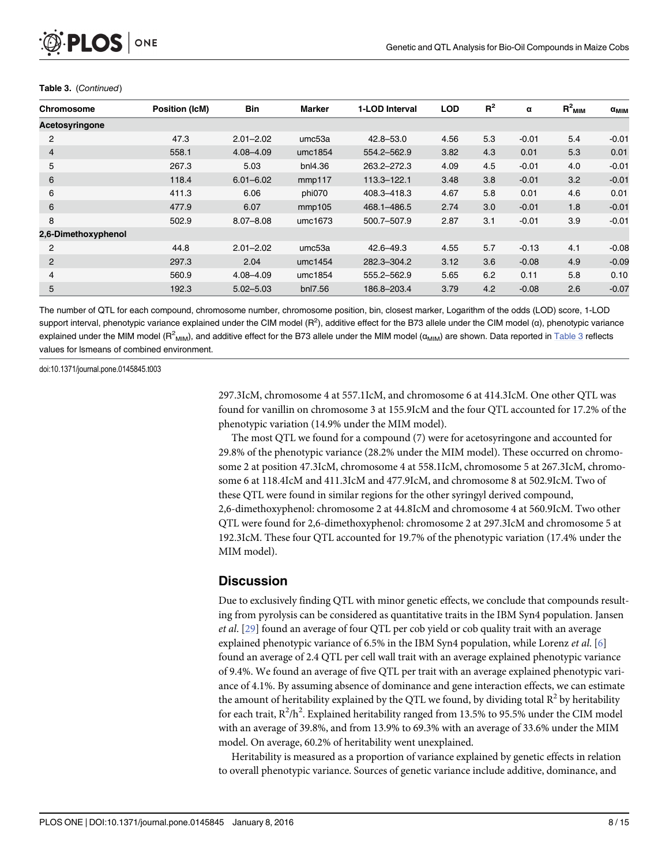| O PLOS ONE |  |
|------------|--|
|------------|--|

| Chromosome          | <b>Position (IcM)</b> | <b>Bin</b>    | <b>Marker</b>      | 1-LOD Interval | <b>LOD</b> | $R^2$ | α       | $R^2$ <sub>MIM</sub> | $\alpha_{\text{MIM}}$ |
|---------------------|-----------------------|---------------|--------------------|----------------|------------|-------|---------|----------------------|-----------------------|
| Acetosyringone      |                       |               |                    |                |            |       |         |                      |                       |
| $\overline{2}$      | 47.3                  | $2.01 - 2.02$ | umc <sub>53a</sub> | 42.8-53.0      | 4.56       | 5.3   | $-0.01$ | 5.4                  | $-0.01$               |
| $\overline{4}$      | 558.1                 | $4.08 - 4.09$ | umc1854            | 554.2-562.9    | 3.82       | 4.3   | 0.01    | 5.3                  | 0.01                  |
| 5                   | 267.3                 | 5.03          | bnl4.36            | 263.2-272.3    | 4.09       | 4.5   | $-0.01$ | 4.0                  | $-0.01$               |
| 6                   | 118.4                 | $6.01 - 6.02$ | mmp117             | 113.3-122.1    | 3.48       | 3.8   | $-0.01$ | 3.2                  | $-0.01$               |
| 6                   | 411.3                 | 6.06          | phi070             | 408.3-418.3    | 4.67       | 5.8   | 0.01    | 4.6                  | 0.01                  |
| 6                   | 477.9                 | 6.07          | mmp105             | 468.1-486.5    | 2.74       | 3.0   | $-0.01$ | 1.8                  | $-0.01$               |
| 8                   | 502.9                 | $8.07 - 8.08$ | umc1673            | 500.7-507.9    | 2.87       | 3.1   | $-0.01$ | 3.9                  | $-0.01$               |
| 2,6-Dimethoxyphenol |                       |               |                    |                |            |       |         |                      |                       |
| 2                   | 44.8                  | $2.01 - 2.02$ | umc <sub>53a</sub> | $42.6 - 49.3$  | 4.55       | 5.7   | $-0.13$ | 4.1                  | $-0.08$               |
| 2                   | 297.3                 | 2.04          | umc1454            | 282.3-304.2    | 3.12       | 3.6   | $-0.08$ | 4.9                  | $-0.09$               |
| 4                   | 560.9                 | $4.08 - 4.09$ | umc1854            | 555.2-562.9    | 5.65       | 6.2   | 0.11    | 5.8                  | 0.10                  |
| 5                   | 192.3                 | $5.02 - 5.03$ | bnl7.56            | 186.8-203.4    | 3.79       | 4.2   | $-0.08$ | 2.6                  | $-0.07$               |

#### Table 3. (Continued)

The number of QTL for each compound, chromosome number, chromosome position, bin, closest marker, Logarithm of the odds (LOD) score, 1-LOD support interval, phenotypic variance explained under the CIM model (R<sup>2</sup>), additive effect for the B73 allele under the CIM model (α), phenotypic variance explained under the MIM model (R<sup>2</sup><sub>MIM</sub>), and additive effect for the B73 allele under the MIM model (α<sub>MIM</sub>) are shown. Data reported in <u>[Table 3](#page-6-0)</u> reflects values for lsmeans of combined environment.

doi:10.1371/journal.pone.0145845.t003

297.3IcM, chromosome 4 at 557.1IcM, and chromosome 6 at 414.3IcM. One other QTL was found for vanillin on chromosome 3 at 155.9IcM and the four QTL accounted for 17.2% of the phenotypic variation (14.9% under the MIM model).

The most QTL we found for a compound (7) were for acetosyringone and accounted for 29.8% of the phenotypic variance (28.2% under the MIM model). These occurred on chromosome 2 at position 47.3IcM, chromosome 4 at 558.1IcM, chromosome 5 at 267.3IcM, chromosome 6 at 118.4IcM and 411.3IcM and 477.9IcM, and chromosome 8 at 502.9IcM. Two of these QTL were found in similar regions for the other syringyl derived compound, 2,6-dimethoxyphenol: chromosome 2 at 44.8IcM and chromosome 4 at 560.9IcM. Two other QTL were found for 2,6-dimethoxyphenol: chromosome 2 at 297.3IcM and chromosome 5 at 192.3IcM. These four QTL accounted for 19.7% of the phenotypic variation (17.4% under the MIM model).

# **Discussion**

Due to exclusively finding QTL with minor genetic effects, we conclude that compounds resulting from pyrolysis can be considered as quantitative traits in the IBM Syn4 population. Jansen et al. [\[29\]](#page-14-0) found an average of four QTL per cob yield or cob quality trait with an average explained phenotypic variance of 6.5% in the IBM Syn4 population, while Lorenz *et al.* [\[6](#page-13-0)] found an average of 2.4 QTL per cell wall trait with an average explained phenotypic variance of 9.4%. We found an average of five QTL per trait with an average explained phenotypic variance of 4.1%. By assuming absence of dominance and gene interaction effects, we can estimate the amount of heritability explained by the QTL we found, by dividing total  $R^2$  by heritability for each trait,  $R^2/h^2$ . Explained heritability ranged from 13.5% to 95.5% under the CIM model with an average of 39.8%, and from 13.9% to 69.3% with an average of 33.6% under the MIM model. On average, 60.2% of heritability went unexplained.

Heritability is measured as a proportion of variance explained by genetic effects in relation to overall phenotypic variance. Sources of genetic variance include additive, dominance, and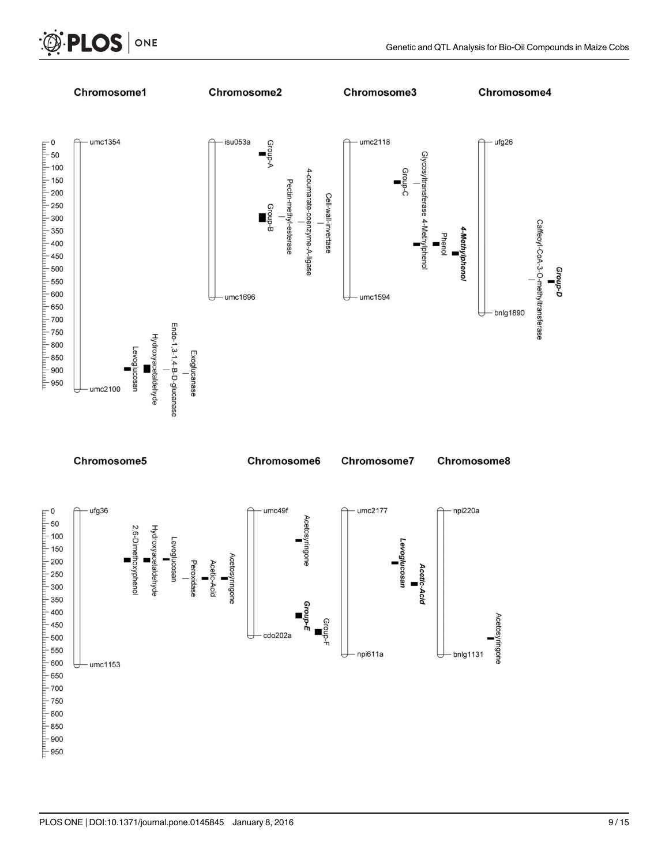

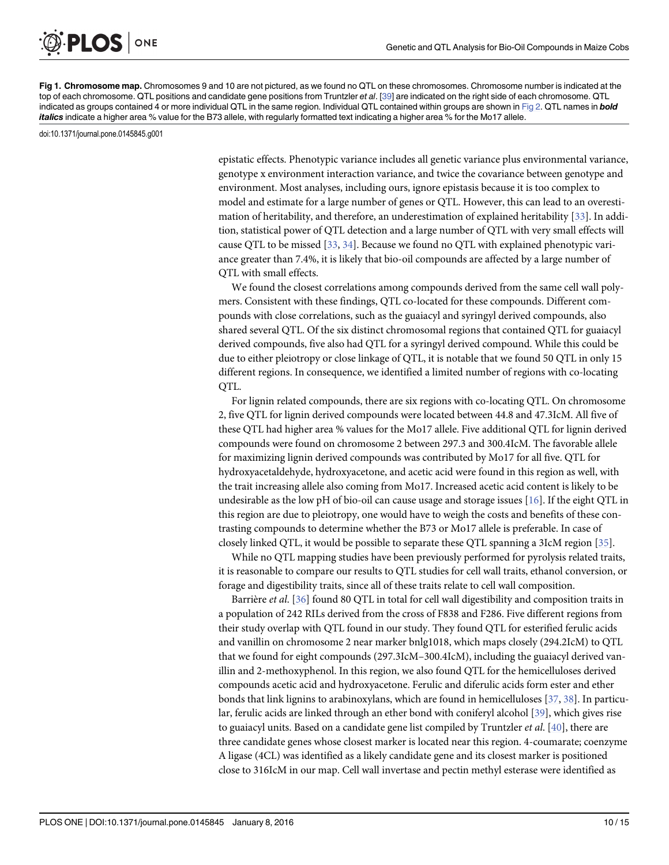[Fig 1. C](#page-5-0)hromosome map. Chromosomes 9 and 10 are not pictured, as we found no QTL on these chromosomes. Chromosome number is indicated at the top of each chromosome. QTL positions and candidate gene positions from Truntzler et al. [[39\]](#page-14-0) are indicated on the right side of each chromosome. QTL indicated as groups contained 4 or more individual QTL in the same region. Individual QTL contained within groups are shown in [Fig 2.](#page-11-0) QTL names in **bold** italics indicate a higher area % value for the B73 allele, with regularly formatted text indicating a higher area % for the Mo17 allele.

doi:10.1371/journal.pone.0145845.g001

<span id="page-9-0"></span>**PLOS** 

ONE

epistatic effects. Phenotypic variance includes all genetic variance plus environmental variance, genotype x environment interaction variance, and twice the covariance between genotype and environment. Most analyses, including ours, ignore epistasis because it is too complex to model and estimate for a large number of genes or QTL. However, this can lead to an overestimation of heritability, and therefore, an underestimation of explained heritability [\[33\]](#page-14-0). In addition, statistical power of QTL detection and a large number of QTL with very small effects will cause QTL to be missed [[33](#page-14-0), [34](#page-14-0)]. Because we found no QTL with explained phenotypic variance greater than 7.4%, it is likely that bio-oil compounds are affected by a large number of QTL with small effects.

We found the closest correlations among compounds derived from the same cell wall polymers. Consistent with these findings, QTL co-located for these compounds. Different compounds with close correlations, such as the guaiacyl and syringyl derived compounds, also shared several QTL. Of the six distinct chromosomal regions that contained QTL for guaiacyl derived compounds, five also had QTL for a syringyl derived compound. While this could be due to either pleiotropy or close linkage of QTL, it is notable that we found 50 QTL in only 15 different regions. In consequence, we identified a limited number of regions with co-locating OTL.

For lignin related compounds, there are six regions with co-locating QTL. On chromosome 2, five QTL for lignin derived compounds were located between 44.8 and 47.3IcM. All five of these QTL had higher area % values for the Mo17 allele. Five additional QTL for lignin derived compounds were found on chromosome 2 between 297.3 and 300.4IcM. The favorable allele for maximizing lignin derived compounds was contributed by Mo17 for all five. QTL for hydroxyacetaldehyde, hydroxyacetone, and acetic acid were found in this region as well, with the trait increasing allele also coming from Mo17. Increased acetic acid content is likely to be undesirable as the low pH of bio-oil can cause usage and storage issues [[16](#page-13-0)]. If the eight QTL in this region are due to pleiotropy, one would have to weigh the costs and benefits of these contrasting compounds to determine whether the B73 or Mo17 allele is preferable. In case of closely linked QTL, it would be possible to separate these QTL spanning a 3IcM region [[35](#page-14-0)].

While no QTL mapping studies have been previously performed for pyrolysis related traits, it is reasonable to compare our results to QTL studies for cell wall traits, ethanol conversion, or forage and digestibility traits, since all of these traits relate to cell wall composition.

Barrière et al. [[36](#page-14-0)] found 80 QTL in total for cell wall digestibility and composition traits in a population of 242 RILs derived from the cross of F838 and F286. Five different regions from their study overlap with QTL found in our study. They found QTL for esterified ferulic acids and vanillin on chromosome 2 near marker bnlg1018, which maps closely (294.2IcM) to QTL that we found for eight compounds (297.3IcM–300.4IcM), including the guaiacyl derived vanillin and 2-methoxyphenol. In this region, we also found QTL for the hemicelluloses derived compounds acetic acid and hydroxyacetone. Ferulic and diferulic acids form ester and ether bonds that link lignins to arabinoxylans, which are found in hemicelluloses [[37](#page-14-0), [38](#page-14-0)]. In particular, ferulic acids are linked through an ether bond with coniferyl alcohol [\[39\]](#page-14-0), which gives rise to guaiacyl units. Based on a candidate gene list compiled by Truntzler *et al.* [ $40$ ], there are three candidate genes whose closest marker is located near this region. 4-coumarate; coenzyme A ligase (4CL) was identified as a likely candidate gene and its closest marker is positioned close to 316IcM in our map. Cell wall invertase and pectin methyl esterase were identified as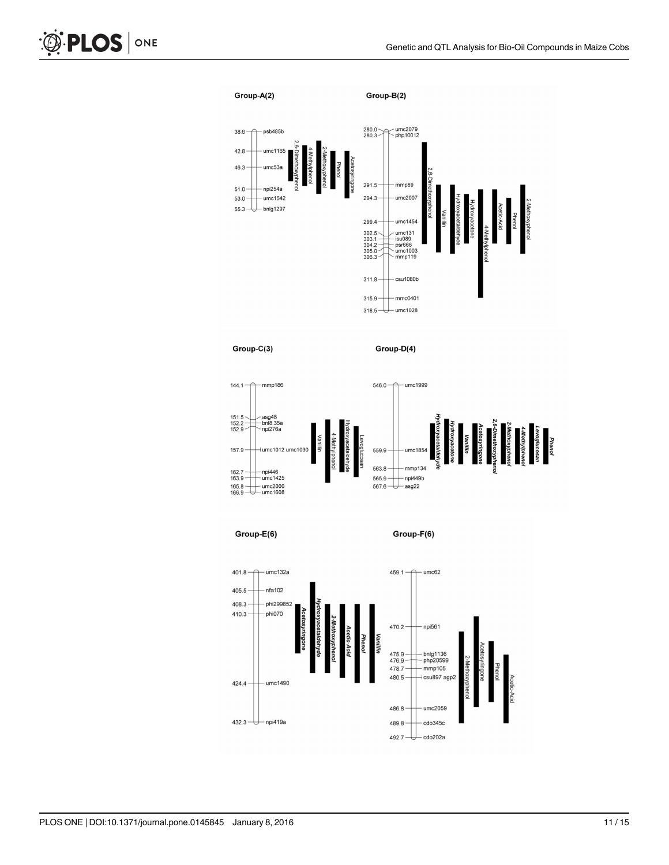



Group-E(6)

Group-F(6)

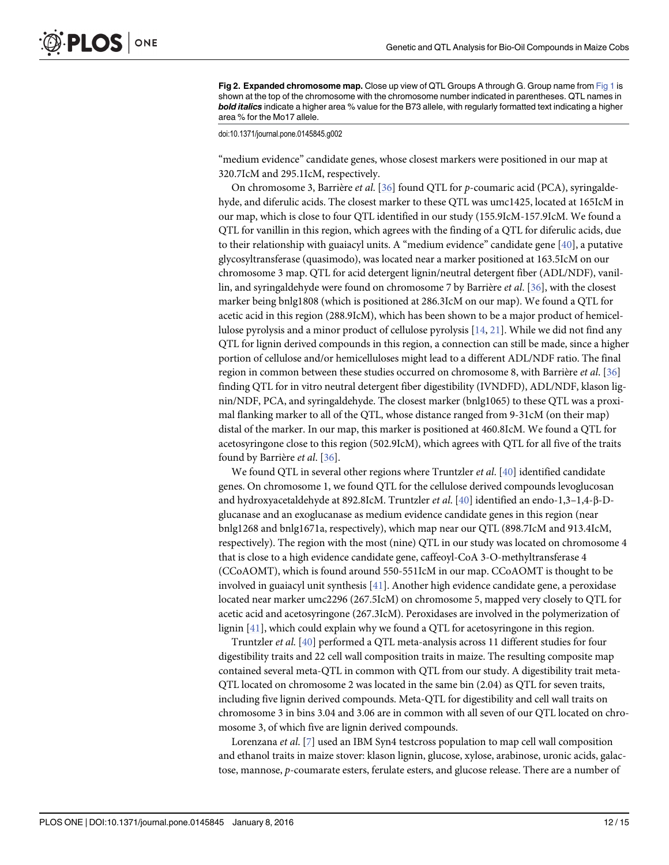<span id="page-11-0"></span>[Fig 2. E](#page-5-0)xpanded chromosome map. Close up view of QTL Groups A through G. Group name from [Fig 1](#page-9-0) is shown at the top of the chromosome with the chromosome number indicated in parentheses. QTL names in bold italics indicate a higher area % value for the B73 allele, with regularly formatted text indicating a higher area % for the Mo17 allele.

doi:10.1371/journal.pone.0145845.g002

"medium evidence" candidate genes, whose closest markers were positioned in our map at 320.7IcM and 295.1IcM, respectively.

On chromosome 3, Barrière et al. [\[36\]](#page-14-0) found QTL for p-coumaric acid (PCA), syringaldehyde, and diferulic acids. The closest marker to these QTL was umc1425, located at 165IcM in our map, which is close to four QTL identified in our study (155.9IcM-157.9IcM. We found a QTL for vanillin in this region, which agrees with the finding of a QTL for diferulic acids, due to their relationship with guaiacyl units. A "medium evidence" candidate gene [[40\]](#page-14-0), a putative glycosyltransferase (quasimodo), was located near a marker positioned at 163.5IcM on our chromosome 3 map. QTL for acid detergent lignin/neutral detergent fiber (ADL/NDF), vanillin, and syringaldehyde were found on chromosome 7 by Barrière et al. [[36](#page-14-0)], with the closest marker being bnlg1808 (which is positioned at 286.3IcM on our map). We found a QTL for acetic acid in this region (288.9IcM), which has been shown to be a major product of hemicellulose pyrolysis and a minor product of cellulose pyrolysis [[14](#page-13-0), [21](#page-13-0)]. While we did not find any QTL for lignin derived compounds in this region, a connection can still be made, since a higher portion of cellulose and/or hemicelluloses might lead to a different ADL/NDF ratio. The final region in common between these studies occurred on chromosome 8, with Barrière et al. [\[36\]](#page-14-0) finding QTL for in vitro neutral detergent fiber digestibility (IVNDFD), ADL/NDF, klason lignin/NDF, PCA, and syringaldehyde. The closest marker (bnlg1065) to these QTL was a proximal flanking marker to all of the QTL, whose distance ranged from 9-31cM (on their map) distal of the marker. In our map, this marker is positioned at 460.8IcM. We found a QTL for acetosyringone close to this region (502.9IcM), which agrees with QTL for all five of the traits found by Barrière et al. [\[36\]](#page-14-0).

We found QTL in several other regions where Truntzler et al. [\[40\]](#page-14-0) identified candidate genes. On chromosome 1, we found QTL for the cellulose derived compounds levoglucosan and hydroxyacetaldehyde at 892.8IcM. Truntzler et al. [[40\]](#page-14-0) identified an endo-1,3–1,4-β-Dglucanase and an exoglucanase as medium evidence candidate genes in this region (near bnlg1268 and bnlg1671a, respectively), which map near our QTL (898.7IcM and 913.4IcM, respectively). The region with the most (nine) QTL in our study was located on chromosome 4 that is close to a high evidence candidate gene, caffeoyl-CoA 3-O-methyltransferase 4 (CCoAOMT), which is found around 550-551IcM in our map. CCoAOMT is thought to be involved in guaiacyl unit synthesis [\[41\]](#page-14-0). Another high evidence candidate gene, a peroxidase located near marker umc2296 (267.5IcM) on chromosome 5, mapped very closely to QTL for acetic acid and acetosyringone (267.3IcM). Peroxidases are involved in the polymerization of lignin [[41](#page-14-0)], which could explain why we found a QTL for acetosyringone in this region.

Truntzler et al. [\[40](#page-14-0)] performed a QTL meta-analysis across 11 different studies for four digestibility traits and 22 cell wall composition traits in maize. The resulting composite map contained several meta-QTL in common with QTL from our study. A digestibility trait meta-QTL located on chromosome 2 was located in the same bin (2.04) as QTL for seven traits, including five lignin derived compounds. Meta-QTL for digestibility and cell wall traits on chromosome 3 in bins 3.04 and 3.06 are in common with all seven of our QTL located on chromosome 3, of which five are lignin derived compounds.

Lorenzana *et al.* [\[7](#page-13-0)] used an IBM Syn4 testcross population to map cell wall composition and ethanol traits in maize stover: klason lignin, glucose, xylose, arabinose, uronic acids, galactose, mannose, p-coumarate esters, ferulate esters, and glucose release. There are a number of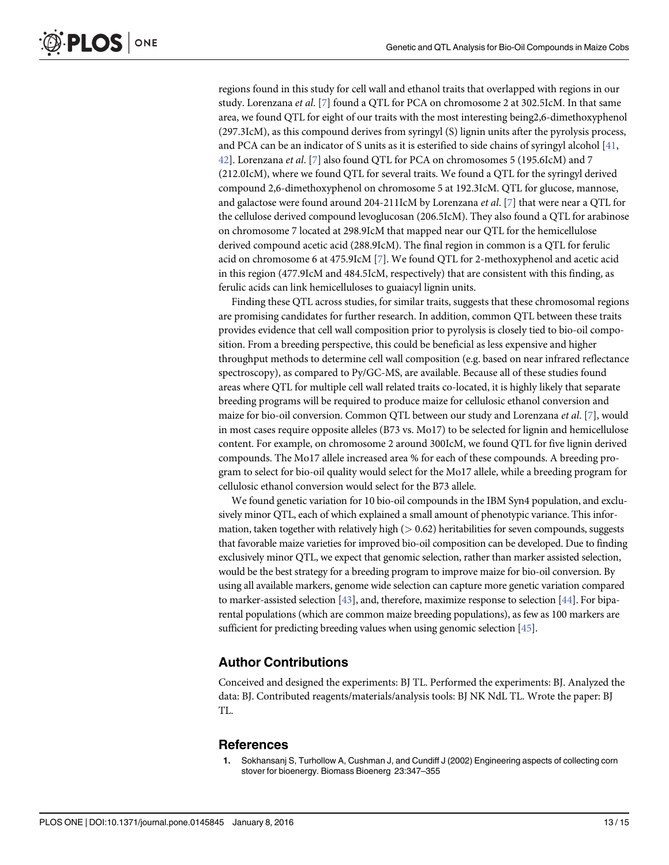regions found in this study for cell wall and ethanol traits that overlapped with regions in our study. Lorenzana et al. [[7](#page-13-0)] found a QTL for PCA on chromosome 2 at 302.5IcM. In that same area, we found QTL for eight of our traits with the most interesting being2,6-dimethoxyphenol (297.3IcM), as this compound derives from syringyl (S) lignin units after the pyrolysis process, and PCA can be an indicator of S units as it is esterified to side chains of syringyl alcohol [[41](#page-14-0), [42\]](#page-14-0). Lorenzana et al. [[7\]](#page-13-0) also found QTL for PCA on chromosomes 5 (195.6IcM) and 7 (212.0IcM), where we found QTL for several traits. We found a QTL for the syringyl derived compound 2,6-dimethoxyphenol on chromosome 5 at 192.3IcM. QTL for glucose, mannose, and galactose were found around 204-211IcM by Lorenzana et al.  $[7]$  $[7]$  that were near a QTL for the cellulose derived compound levoglucosan (206.5IcM). They also found a QTL for arabinose on chromosome 7 located at 298.9IcM that mapped near our QTL for the hemicellulose derived compound acetic acid (288.9IcM). The final region in common is a QTL for ferulic acid on chromosome 6 at 475.9IcM [[7](#page-13-0)]. We found QTL for 2-methoxyphenol and acetic acid in this region (477.9IcM and 484.5IcM, respectively) that are consistent with this finding, as ferulic acids can link hemicelluloses to guaiacyl lignin units.

Finding these QTL across studies, for similar traits, suggests that these chromosomal regions are promising candidates for further research. In addition, common QTL between these traits provides evidence that cell wall composition prior to pyrolysis is closely tied to bio-oil composition. From a breeding perspective, this could be beneficial as less expensive and higher throughput methods to determine cell wall composition (e.g. based on near infrared reflectance spectroscopy), as compared to Py/GC-MS, are available. Because all of these studies found areas where QTL for multiple cell wall related traits co-located, it is highly likely that separate breeding programs will be required to produce maize for cellulosic ethanol conversion and maize for bio-oil conversion. Common QTL between our study and Lorenzana et al. [ $\mathbb{Z}$ ], would in most cases require opposite alleles (B73 vs. Mo17) to be selected for lignin and hemicellulose content. For example, on chromosome 2 around 300IcM, we found QTL for five lignin derived compounds. The Mo17 allele increased area % for each of these compounds. A breeding program to select for bio-oil quality would select for the Mo17 allele, while a breeding program for cellulosic ethanol conversion would select for the B73 allele.

We found genetic variation for 10 bio-oil compounds in the IBM Syn4 population, and exclusively minor QTL, each of which explained a small amount of phenotypic variance. This information, taken together with relatively high  $(> 0.62)$  heritabilities for seven compounds, suggests that favorable maize varieties for improved bio-oil composition can be developed. Due to finding exclusively minor QTL, we expect that genomic selection, rather than marker assisted selection, would be the best strategy for a breeding program to improve maize for bio-oil conversion. By using all available markers, genome wide selection can capture more genetic variation compared to marker-assisted selection [[43](#page-14-0)], and, therefore, maximize response to selection [\[44\]](#page-14-0). For biparental populations (which are common maize breeding populations), as few as 100 markers are sufficient for predicting breeding values when using genomic selection [\[45\]](#page-14-0).

#### Author Contributions

Conceived and designed the experiments: BJ TL. Performed the experiments: BJ. Analyzed the data: BJ. Contributed reagents/materials/analysis tools: BJ NK NdL TL. Wrote the paper: BJ TL.

#### **References**

Sokhansanj S, Turhollow A, Cushman J, and Cundiff J (2002) Engineering aspects of collecting corn stover for bioenergy. Biomass Bioenerg 23:347–355

<span id="page-12-0"></span>**PLOS** I

ONE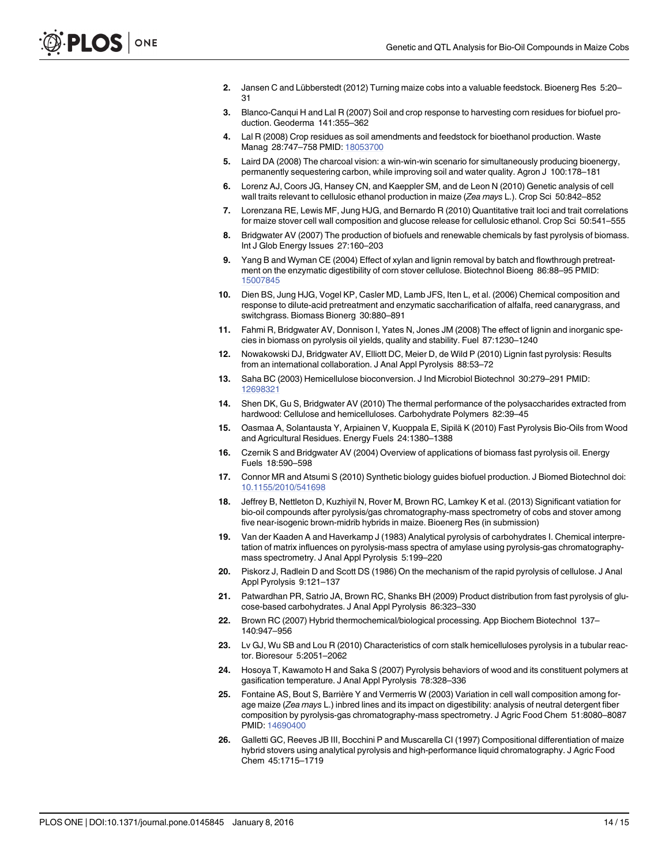- <span id="page-13-0"></span>[2.](#page-0-0) Jansen C and Lübberstedt (2012) Turning maize cobs into a valuable feedstock. Bioenerg Res 5:20– 31
- [3.](#page-0-0) Blanco-Canqui H and Lal R (2007) Soil and crop response to harvesting corn residues for biofuel production. Geoderma 141:355–362
- [4.](#page-0-0) Lal R (2008) Crop residues as soil amendments and feedstock for bioethanol production. Waste Manag 28:747–758 PMID: [18053700](http://www.ncbi.nlm.nih.gov/pubmed/18053700)
- [5.](#page-0-0) Laird DA (2008) The charcoal vision: a win-win-win scenario for simultaneously producing bioenergy, permanently sequestering carbon, while improving soil and water quality. Agron J 100:178–181
- [6.](#page-0-0) Lorenz AJ, Coors JG, Hansey CN, and Kaeppler SM, and de Leon N (2010) Genetic analysis of cell wall traits relevant to cellulosic ethanol production in maize (Zea mays L.). Crop Sci 50:842-852
- [7.](#page-0-0) Lorenzana RE, Lewis MF, Jung HJG, and Bernardo R (2010) Quantitative trait loci and trait correlations for maize stover cell wall composition and glucose release for cellulosic ethanol. Crop Sci 50:541–555
- [8.](#page-0-0) Bridgwater AV (2007) The production of biofuels and renewable chemicals by fast pyrolysis of biomass. Int J Glob Energy Issues 27:160–203
- [9.](#page-0-0) Yang B and Wyman CE (2004) Effect of xylan and lignin removal by batch and flowthrough pretreatment on the enzymatic digestibility of corn stover cellulose. Biotechnol Bioeng 86:88–95 PMID: [15007845](http://www.ncbi.nlm.nih.gov/pubmed/15007845)
- [10.](#page-0-0) Dien BS, Jung HJG, Vogel KP, Casler MD, Lamb JFS, Iten L, et al. (2006) Chemical composition and response to dilute-acid pretreatment and enzymatic saccharification of alfalfa, reed canarygrass, and switchgrass. Biomass Bionerg 30:880–891
- [11.](#page-1-0) Fahmi R, Bridgwater AV, Donnison I, Yates N, Jones JM (2008) The effect of lignin and inorganic species in biomass on pyrolysis oil yields, quality and stability. Fuel 87:1230–1240
- [12.](#page-1-0) Nowakowski DJ, Bridgwater AV, Elliott DC, Meier D, de Wild P (2010) Lignin fast pyrolysis: Results from an international collaboration. J Anal Appl Pyrolysis 88:53–72
- [13.](#page-1-0) Saha BC (2003) Hemicellulose bioconversion. J Ind Microbiol Biotechnol 30:279–291 PMID: [12698321](http://www.ncbi.nlm.nih.gov/pubmed/12698321)
- [14.](#page-1-0) Shen DK, Gu S, Bridgwater AV (2010) The thermal performance of the polysaccharides extracted from hardwood: Cellulose and hemicelluloses. Carbohydrate Polymers 82:39–45
- [15.](#page-1-0) Oasmaa A, Solantausta Y, Arpiainen V, Kuoppala E, Sipilä K (2010) Fast Pyrolysis Bio-Oils from Wood and Agricultural Residues. Energy Fuels 24:1380–1388
- [16.](#page-1-0) Czernik S and Bridgwater AV (2004) Overview of applications of biomass fast pyrolysis oil. Energy Fuels 18:590–598
- [17.](#page-1-0) Connor MR and Atsumi S (2010) Synthetic biology guides biofuel production. J Biomed Biotechnol doi: [10.1155/2010/541698](http://dx.doi.org/10.1155/2010/541698)
- [18.](#page-1-0) Jeffrey B, Nettleton D, Kuzhiyil N, Rover M, Brown RC, Lamkey K et al. (2013) Significant vatiation for bio-oil compounds after pyrolysis/gas chromatography-mass spectrometry of cobs and stover among five near-isogenic brown-midrib hybrids in maize. Bioenerg Res (in submission)
- [19.](#page-1-0) Van der Kaaden A and Haverkamp J (1983) Analytical pyrolysis of carbohydrates I. Chemical interpretation of matrix influences on pyrolysis-mass spectra of amylase using pyrolysis-gas chromatographymass spectrometry. J Anal Appl Pyrolysis 5:199–220
- 20. Piskorz J, Radlein D and Scott DS (1986) On the mechanism of the rapid pyrolysis of cellulose. J Anal Appl Pyrolysis 9:121–137
- [21.](#page-1-0) Patwardhan PR, Satrio JA, Brown RC, Shanks BH (2009) Product distribution from fast pyrolysis of glucose-based carbohydrates. J Anal Appl Pyrolysis 86:323–330
- [22.](#page-1-0) Brown RC (2007) Hybrid thermochemical/biological processing. App Biochem Biotechnol 137– 140:947–956
- [23.](#page-1-0) Lv GJ, Wu SB and Lou R (2010) Characteristics of corn stalk hemicelluloses pyrolysis in a tubular reactor. Bioresour 5:2051–2062
- [24.](#page-1-0) Hosoya T, Kawamoto H and Saka S (2007) Pyrolysis behaviors of wood and its constituent polymers at gasification temperature. J Anal Appl Pyrolysis 78:328–336
- [25.](#page-1-0) Fontaine AS, Bout S, Barrière Y and Vermerris W (2003) Variation in cell wall composition among forage maize (Zea mays L.) inbred lines and its impact on digestibility: analysis of neutral detergent fiber composition by pyrolysis-gas chromatography-mass spectrometry. J Agric Food Chem 51:8080–8087 PMID: [14690400](http://www.ncbi.nlm.nih.gov/pubmed/14690400)
- [26.](#page-1-0) Galletti GC, Reeves JB III, Bocchini P and Muscarella CI (1997) Compositional differentiation of maize hybrid stovers using analytical pyrolysis and high-performance liquid chromatography. J Agric Food Chem 45:1715–1719